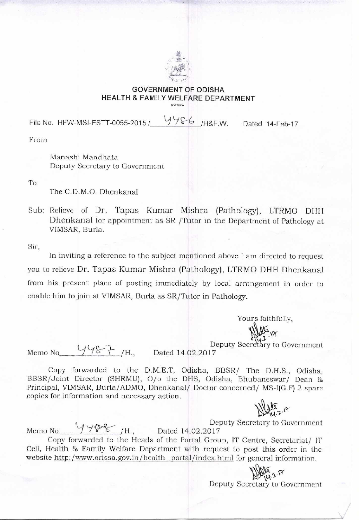

## GOVERNMENT OF ODISHA HEALTH & FAMILY WELFARE DEPARTMENT \*\*\*\*\*

File No. HFW-MSI-ESTT-0055-2015 / 4986 / H&F.W. Dated 14-1 eb-17

From

Manashi Mandhata Deputy Secretary to Government

To

The C.D.M.O. Dhenkanal

Sub: Relieve of Dr. Tapas Kumar Mishra (Pathology), LTRMO DHH Dhenkanal for appointment as SR /Tutor in the Department of Pathology at VIMSAR, Burla.

Sir,

In inviting a reference to the subject mentioned above I am directed to request you to relieve Dr. Tapas Kumar Mishra (Pathology), LTRMO DHH Dhenkanal from his present place of posting immediately by local arrangement in order to enable him to join at VIMSAR., Burla as SR/Tutor in Pathology.

Yours faithfully,

Deputy Secretary to Government

Memo No  $\frac{1}{\sqrt[3]{8}}$ /H., Dated 14.02.2017

Copy forwarded to the D.M.E.T, Odisha, BBSR/ The D.H.S., Odisha, BBSR/Joint Director (SHRMU), 0/o the DHS, Odisha, Bhubaneswar/ Dean & Principal, VIMSAR, Burla/ADMO, Dhenkanal/ Doctor concerned/ MS-I(G.F) 2 spare copies for information and necessary action.

 $NLL^{19}$ 

Deputy Secretary to Government

Memo No  $\frac{1188}{111}$ , Dated 14.02.2017 Copy forwarded to the Heads of the Portal Group, IT Centre, Secretariat/ IT Cell, Health & Family Welfare Department with request to post this order in the website http:/www.orissa.gov.in/health portal/index.html for general information.

 $\bigcup_{v \in V} \bigcup_{v \in V} \bigcup_{v \in V} \mathcal{P}(v \in V)$